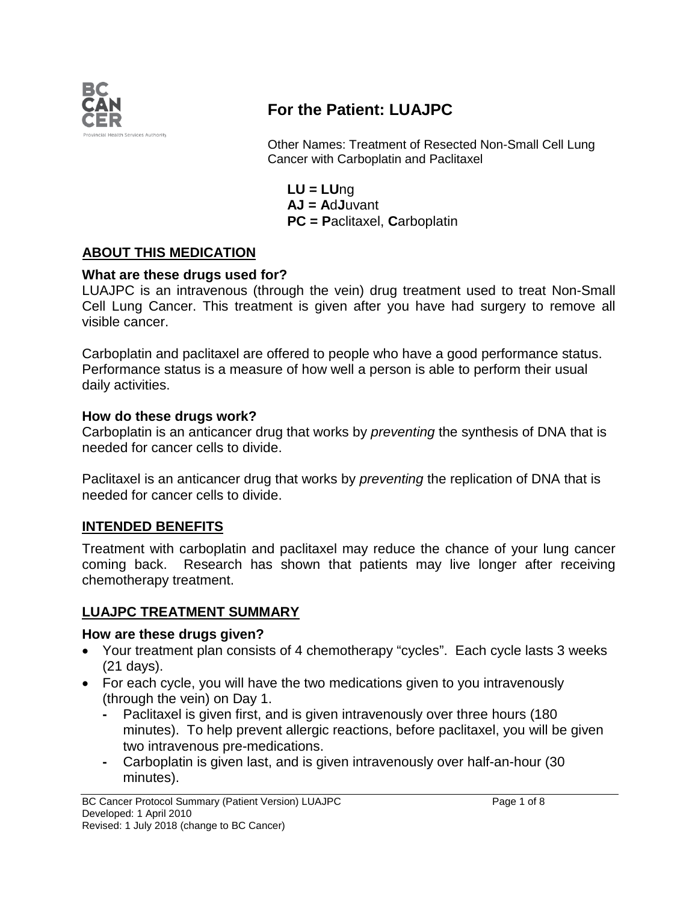

# **For the Patient: LUAJPC**

Other Names: Treatment of Resected Non-Small Cell Lung Cancer with Carboplatin and Paclitaxel

**LU = LU**ng **AJ = A**d**J**uvant **PC = P**aclitaxel, **C**arboplatin

## **ABOUT THIS MEDICATION**

#### **What are these drugs used for?**

LUAJPC is an intravenous (through the vein) drug treatment used to treat Non-Small Cell Lung Cancer. This treatment is given after you have had surgery to remove all visible cancer.

Carboplatin and paclitaxel are offered to people who have a good performance status. Performance status is a measure of how well a person is able to perform their usual daily activities.

#### **How do these drugs work?**

Carboplatin is an anticancer drug that works by *preventing* the synthesis of DNA that is needed for cancer cells to divide.

Paclitaxel is an anticancer drug that works by *preventing* the replication of DNA that is needed for cancer cells to divide.

#### **INTENDED BENEFITS**

Treatment with carboplatin and paclitaxel may reduce the chance of your lung cancer coming back. Research has shown that patients may live longer after receiving chemotherapy treatment.

## **LUAJPC TREATMENT SUMMARY**

#### **How are these drugs given?**

- Your treatment plan consists of 4 chemotherapy "cycles". Each cycle lasts 3 weeks (21 days).
- For each cycle, you will have the two medications given to you intravenously (through the vein) on Day 1.
	- **-** Paclitaxel is given first, and is given intravenously over three hours (180 minutes). To help prevent allergic reactions, before paclitaxel, you will be given two intravenous pre-medications.
	- **-** Carboplatin is given last, and is given intravenously over half-an-hour (30 minutes).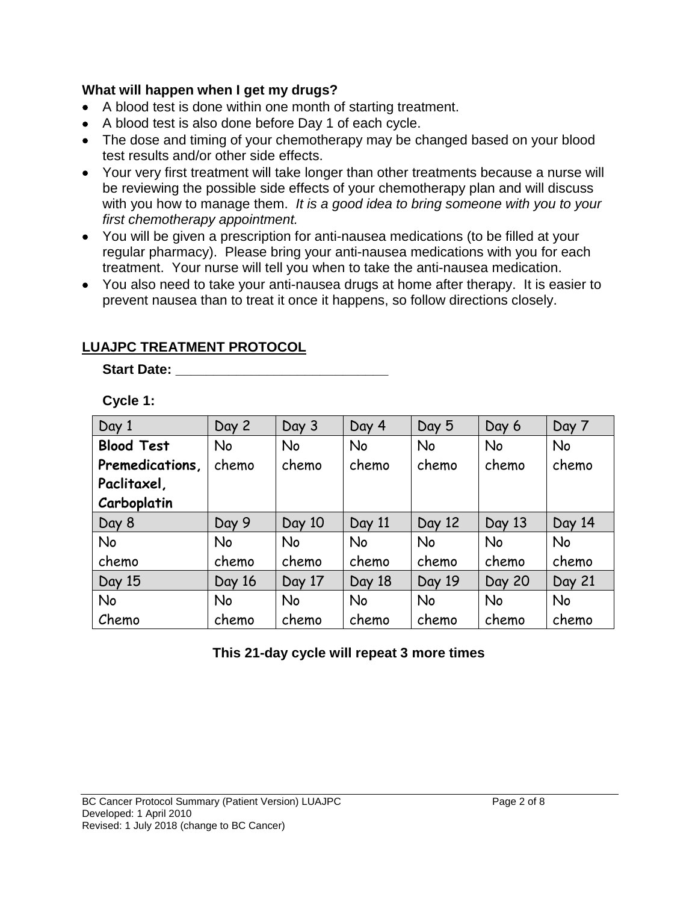### **What will happen when I get my drugs?**

- A blood test is done within one month of starting treatment.
- A blood test is also done before Day 1 of each cycle.
- The dose and timing of your chemotherapy may be changed based on your blood test results and/or other side effects.
- Your very first treatment will take longer than other treatments because a nurse will be reviewing the possible side effects of your chemotherapy plan and will discuss with you how to manage them. *It is a good idea to bring someone with you to your first chemotherapy appointment.*
- You will be given a prescription for anti-nausea medications (to be filled at your regular pharmacy). Please bring your anti-nausea medications with you for each treatment. Your nurse will tell you when to take the anti-nausea medication.
- You also need to take your anti-nausea drugs at home after therapy. It is easier to prevent nausea than to treat it once it happens, so follow directions closely.

# **LUAJPC TREATMENT PROTOCOL**

#### **Start Date: \_\_\_\_\_\_\_\_\_\_\_\_\_\_\_\_\_\_\_\_\_\_\_\_\_\_\_\_**

**Cycle 1:**

| Day 1             | Day 2     | Day 3     | Day 4     | Day 5     | Day 6         | Day 7     |
|-------------------|-----------|-----------|-----------|-----------|---------------|-----------|
| <b>Blood Test</b> | No        | No        | <b>No</b> | <b>No</b> | <b>No</b>     | <b>No</b> |
| Premedications,   | chemo     | chemo     | chemo     | chemo     | chemo         | chemo     |
| Paclitaxel,       |           |           |           |           |               |           |
| Carboplatin       |           |           |           |           |               |           |
| Day 8             | Day 9     | Day 10    | Day 11    | Day 12    | Day 13        | Day 14    |
| <b>No</b>         | No        | <b>No</b> | <b>No</b> | <b>No</b> | <b>No</b>     | <b>No</b> |
| chemo             | chemo     | chemo     | chemo     | chemo     | chemo         | chemo     |
| Day 15            | Day 16    | Day 17    | Day 18    | Day 19    | <b>Day 20</b> | Day 21    |
| <b>No</b>         | <b>No</b> | <b>No</b> | No        | <b>No</b> | <b>No</b>     | <b>No</b> |
| Chemo             | chemo     | chemo     | chemo     | chemo     | chemo         | chemo     |

**This 21-day cycle will repeat 3 more times**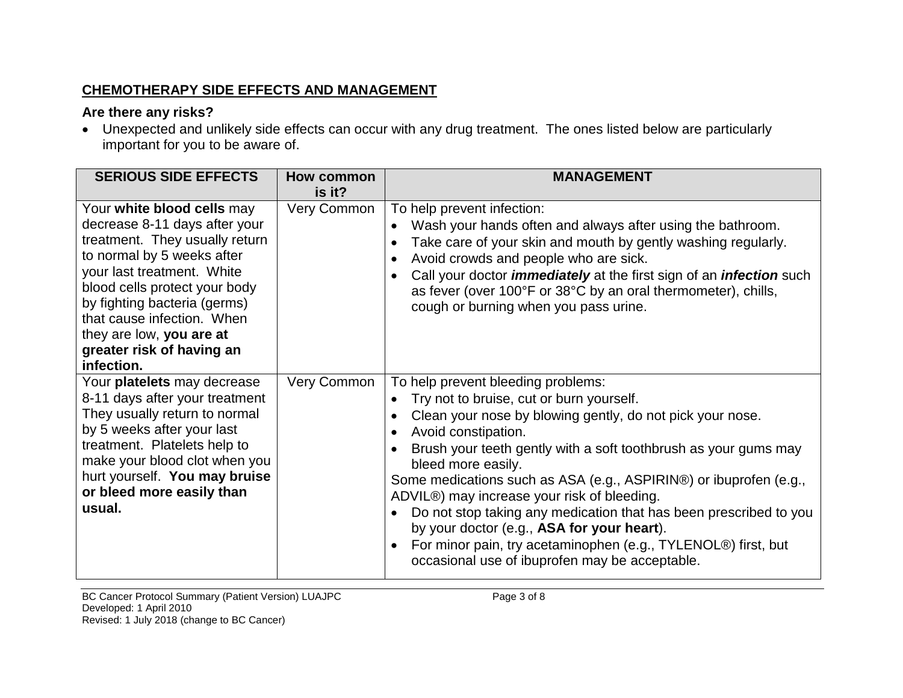# **CHEMOTHERAPY SIDE EFFECTS AND MANAGEMENT**

# **Are there any risks?**

• Unexpected and unlikely side effects can occur with any drug treatment. The ones listed below are particularly important for you to be aware of.

| <b>SERIOUS SIDE EFFECTS</b>                                                                                                                                                                                                                                                                                                     | How common  | <b>MANAGEMENT</b>                                                                                                                                                                                                                                                                                                                                                                                                                                                                                                                                                                                                                  |
|---------------------------------------------------------------------------------------------------------------------------------------------------------------------------------------------------------------------------------------------------------------------------------------------------------------------------------|-------------|------------------------------------------------------------------------------------------------------------------------------------------------------------------------------------------------------------------------------------------------------------------------------------------------------------------------------------------------------------------------------------------------------------------------------------------------------------------------------------------------------------------------------------------------------------------------------------------------------------------------------------|
|                                                                                                                                                                                                                                                                                                                                 | is it?      |                                                                                                                                                                                                                                                                                                                                                                                                                                                                                                                                                                                                                                    |
| Your white blood cells may<br>decrease 8-11 days after your<br>treatment. They usually return<br>to normal by 5 weeks after<br>your last treatment. White<br>blood cells protect your body<br>by fighting bacteria (germs)<br>that cause infection. When<br>they are low, you are at<br>greater risk of having an<br>infection. | Very Common | To help prevent infection:<br>Wash your hands often and always after using the bathroom.<br>Take care of your skin and mouth by gently washing regularly.<br>Avoid crowds and people who are sick.<br>Call your doctor <i>immediately</i> at the first sign of an <i>infection</i> such<br>as fever (over 100°F or 38°C by an oral thermometer), chills,<br>cough or burning when you pass urine.                                                                                                                                                                                                                                  |
| Your platelets may decrease<br>8-11 days after your treatment<br>They usually return to normal<br>by 5 weeks after your last<br>treatment. Platelets help to<br>make your blood clot when you<br>hurt yourself. You may bruise<br>or bleed more easily than<br>usual.                                                           | Very Common | To help prevent bleeding problems:<br>Try not to bruise, cut or burn yourself.<br>Clean your nose by blowing gently, do not pick your nose.<br>Avoid constipation.<br>Brush your teeth gently with a soft toothbrush as your gums may<br>bleed more easily.<br>Some medications such as ASA (e.g., ASPIRIN®) or ibuprofen (e.g.,<br>ADVIL®) may increase your risk of bleeding.<br>Do not stop taking any medication that has been prescribed to you<br>by your doctor (e.g., ASA for your heart).<br>For minor pain, try acetaminophen (e.g., TYLENOL®) first, but<br>$\bullet$<br>occasional use of ibuprofen may be acceptable. |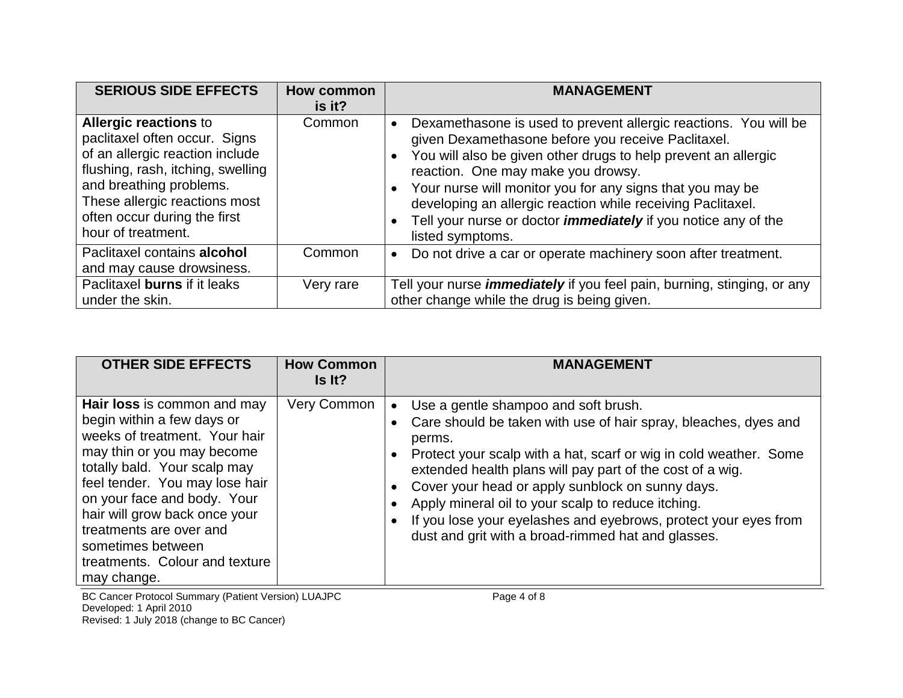| <b>SERIOUS SIDE EFFECTS</b>                                                                                                                                                                                                                             | How common<br>$is$ it? | <b>MANAGEMENT</b>                                                                                                                                                                                                                                                                                                                                                                                                                                                        |
|---------------------------------------------------------------------------------------------------------------------------------------------------------------------------------------------------------------------------------------------------------|------------------------|--------------------------------------------------------------------------------------------------------------------------------------------------------------------------------------------------------------------------------------------------------------------------------------------------------------------------------------------------------------------------------------------------------------------------------------------------------------------------|
| <b>Allergic reactions to</b><br>paclitaxel often occur. Signs<br>of an allergic reaction include<br>flushing, rash, itching, swelling<br>and breathing problems.<br>These allergic reactions most<br>often occur during the first<br>hour of treatment. | Common                 | Dexamethasone is used to prevent allergic reactions. You will be<br>$\bullet$<br>given Dexamethasone before you receive Paclitaxel.<br>• You will also be given other drugs to help prevent an allergic<br>reaction. One may make you drowsy.<br>• Your nurse will monitor you for any signs that you may be<br>developing an allergic reaction while receiving Paclitaxel.<br>Tell your nurse or doctor <i>immediately</i> if you notice any of the<br>listed symptoms. |
| Paclitaxel contains alcohol<br>and may cause drowsiness.                                                                                                                                                                                                | Common                 | Do not drive a car or operate machinery soon after treatment.<br>$\bullet$                                                                                                                                                                                                                                                                                                                                                                                               |
| Paclitaxel burns if it leaks<br>under the skin.                                                                                                                                                                                                         | Very rare              | Tell your nurse <i>immediately</i> if you feel pain, burning, stinging, or any<br>other change while the drug is being given.                                                                                                                                                                                                                                                                                                                                            |

| <b>OTHER SIDE EFFECTS</b>                                                                                                                                                                                                                                                                                                                                   | <b>How Common</b><br>Is It? | <b>MANAGEMENT</b>                                                                                                                                                                                                                                                                                                                                                                                                                                                                                                                          |
|-------------------------------------------------------------------------------------------------------------------------------------------------------------------------------------------------------------------------------------------------------------------------------------------------------------------------------------------------------------|-----------------------------|--------------------------------------------------------------------------------------------------------------------------------------------------------------------------------------------------------------------------------------------------------------------------------------------------------------------------------------------------------------------------------------------------------------------------------------------------------------------------------------------------------------------------------------------|
| Hair loss is common and may<br>begin within a few days or<br>weeks of treatment. Your hair<br>may thin or you may become<br>totally bald. Your scalp may<br>feel tender. You may lose hair<br>on your face and body. Your<br>hair will grow back once your<br>treatments are over and<br>sometimes between<br>treatments. Colour and texture<br>may change. | Very Common                 | Use a gentle shampoo and soft brush.<br>$\bullet$<br>Care should be taken with use of hair spray, bleaches, dyes and<br>$\bullet$<br>perms.<br>Protect your scalp with a hat, scarf or wig in cold weather. Some<br>$\bullet$<br>extended health plans will pay part of the cost of a wig.<br>Cover your head or apply sunblock on sunny days.<br>$\bullet$<br>Apply mineral oil to your scalp to reduce itching.<br>If you lose your eyelashes and eyebrows, protect your eyes from<br>dust and grit with a broad-rimmed hat and glasses. |

BC Cancer Protocol Summary (Patient Version) LUAJPC Page 4 of 8 Developed: 1 April 2010 Revised: 1 July 2018 (change to BC Cancer)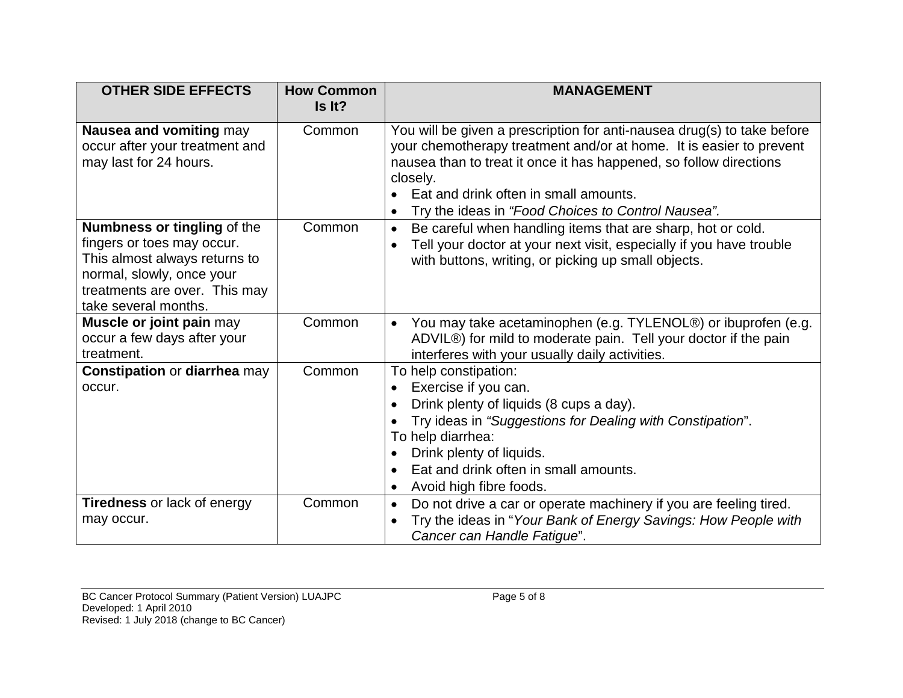| <b>OTHER SIDE EFFECTS</b>                                                                                                                                                        | <b>How Common</b><br>Is It? | <b>MANAGEMENT</b>                                                                                                                                                                                                                                                                                                               |
|----------------------------------------------------------------------------------------------------------------------------------------------------------------------------------|-----------------------------|---------------------------------------------------------------------------------------------------------------------------------------------------------------------------------------------------------------------------------------------------------------------------------------------------------------------------------|
| Nausea and vomiting may<br>occur after your treatment and<br>may last for 24 hours.                                                                                              | Common                      | You will be given a prescription for anti-nausea drug(s) to take before<br>your chemotherapy treatment and/or at home. It is easier to prevent<br>nausea than to treat it once it has happened, so follow directions<br>closely.<br>Eat and drink often in small amounts.<br>Try the ideas in "Food Choices to Control Nausea". |
| Numbness or tingling of the<br>fingers or toes may occur.<br>This almost always returns to<br>normal, slowly, once your<br>treatments are over. This may<br>take several months. | Common                      | Be careful when handling items that are sharp, hot or cold.<br>Tell your doctor at your next visit, especially if you have trouble<br>with buttons, writing, or picking up small objects.                                                                                                                                       |
| Muscle or joint pain may<br>occur a few days after your<br>treatment.                                                                                                            | Common                      | You may take acetaminophen (e.g. TYLENOL®) or ibuprofen (e.g.<br>$\bullet$<br>ADVIL®) for mild to moderate pain. Tell your doctor if the pain<br>interferes with your usually daily activities.                                                                                                                                 |
| <b>Constipation or diarrhea may</b><br>occur.                                                                                                                                    | Common                      | To help constipation:<br>Exercise if you can.<br>$\bullet$<br>Drink plenty of liquids (8 cups a day).<br>$\bullet$<br>Try ideas in "Suggestions for Dealing with Constipation".<br>To help diarrhea:<br>Drink plenty of liquids.<br>Eat and drink often in small amounts.<br>Avoid high fibre foods.<br>$\bullet$               |
| <b>Tiredness or lack of energy</b><br>may occur.                                                                                                                                 | Common                      | Do not drive a car or operate machinery if you are feeling tired.<br>$\bullet$<br>Try the ideas in "Your Bank of Energy Savings: How People with<br>Cancer can Handle Fatigue".                                                                                                                                                 |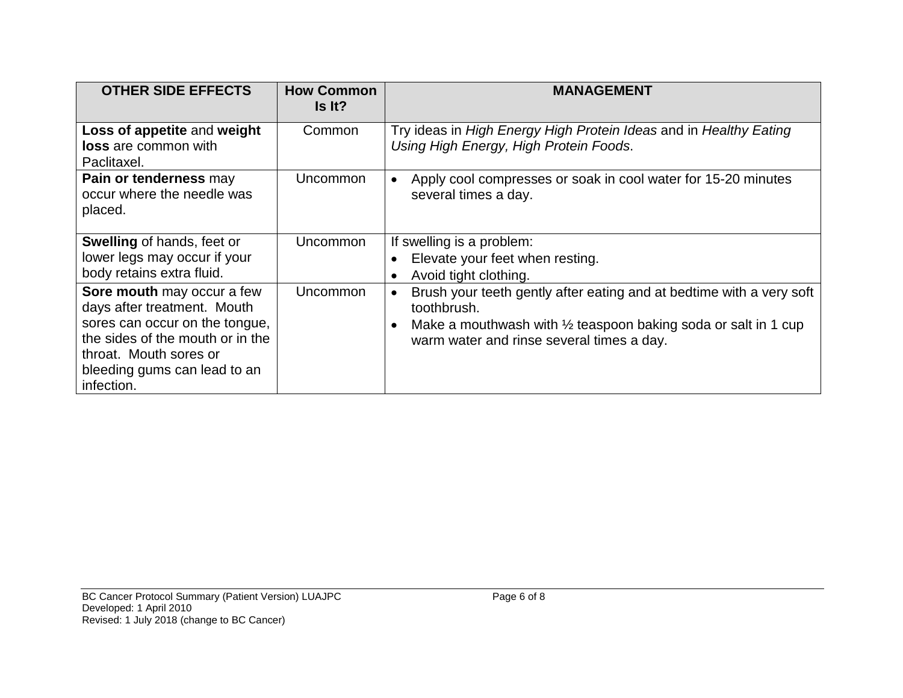| <b>OTHER SIDE EFFECTS</b>                                                                                                                                                                               | <b>How Common</b><br>Is It? | <b>MANAGEMENT</b>                                                                                                                                                                                             |
|---------------------------------------------------------------------------------------------------------------------------------------------------------------------------------------------------------|-----------------------------|---------------------------------------------------------------------------------------------------------------------------------------------------------------------------------------------------------------|
| Loss of appetite and weight<br><b>loss</b> are common with<br>Paclitaxel.                                                                                                                               | Common                      | Try ideas in High Energy High Protein Ideas and in Healthy Eating<br>Using High Energy, High Protein Foods.                                                                                                   |
| Pain or tenderness may<br>occur where the needle was<br>placed.                                                                                                                                         | Uncommon                    | Apply cool compresses or soak in cool water for 15-20 minutes<br>several times a day.                                                                                                                         |
| <b>Swelling of hands, feet or</b><br>lower legs may occur if your<br>body retains extra fluid.                                                                                                          | Uncommon                    | If swelling is a problem:<br>Elevate your feet when resting.<br>Avoid tight clothing.                                                                                                                         |
| Sore mouth may occur a few<br>days after treatment. Mouth<br>sores can occur on the tongue,<br>the sides of the mouth or in the<br>throat. Mouth sores or<br>bleeding gums can lead to an<br>infection. | Uncommon                    | Brush your teeth gently after eating and at bedtime with a very soft<br>toothbrush.<br>Make a mouthwash with $\frac{1}{2}$ teaspoon baking soda or salt in 1 cup<br>warm water and rinse several times a day. |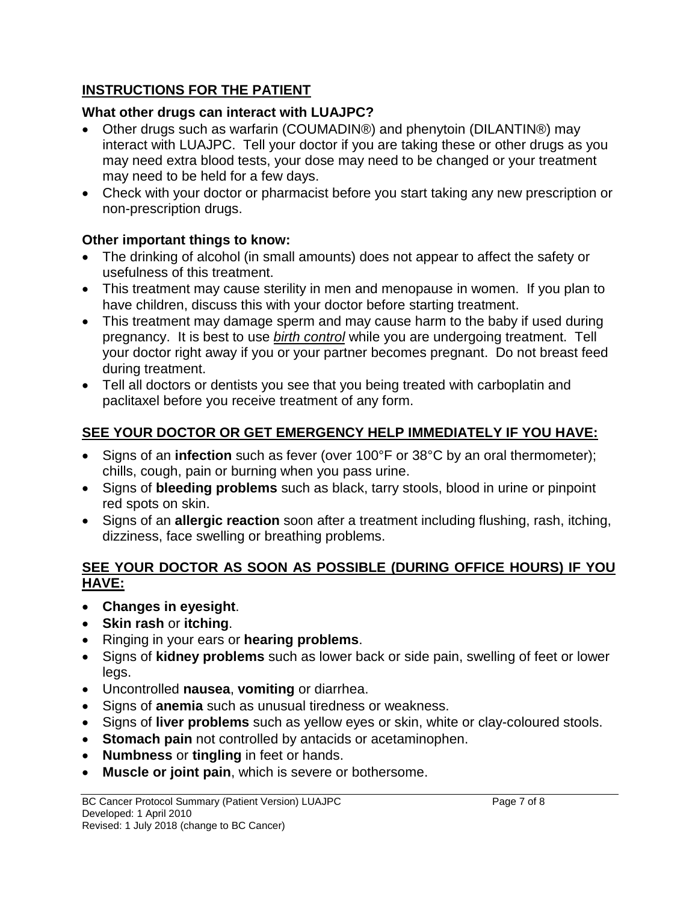# **INSTRUCTIONS FOR THE PATIENT**

# **What other drugs can interact with LUAJPC?**

- Other drugs such as warfarin (COUMADIN®) and phenytoin (DILANTIN®) may interact with LUAJPC. Tell your doctor if you are taking these or other drugs as you may need extra blood tests, your dose may need to be changed or your treatment may need to be held for a few days.
- Check with your doctor or pharmacist before you start taking any new prescription or non-prescription drugs.

# **Other important things to know:**

- The drinking of alcohol (in small amounts) does not appear to affect the safety or usefulness of this treatment.
- This treatment may cause sterility in men and menopause in women. If you plan to have children, discuss this with your doctor before starting treatment.
- This treatment may damage sperm and may cause harm to the baby if used during pregnancy. It is best to use *birth control* while you are undergoing treatment. Tell your doctor right away if you or your partner becomes pregnant. Do not breast feed during treatment.
- Tell all doctors or dentists you see that you being treated with carboplatin and paclitaxel before you receive treatment of any form.

# **SEE YOUR DOCTOR OR GET EMERGENCY HELP IMMEDIATELY IF YOU HAVE:**

- Signs of an **infection** such as fever (over 100°F or 38°C by an oral thermometer); chills, cough, pain or burning when you pass urine.
- Signs of **bleeding problems** such as black, tarry stools, blood in urine or pinpoint red spots on skin.
- Signs of an **allergic reaction** soon after a treatment including flushing, rash, itching, dizziness, face swelling or breathing problems.

# **SEE YOUR DOCTOR AS SOON AS POSSIBLE (DURING OFFICE HOURS) IF YOU HAVE:**

- **Changes in eyesight**.
- **Skin rash** or **itching**.
- Ringing in your ears or **hearing problems**.
- Signs of **kidney problems** such as lower back or side pain, swelling of feet or lower legs.
- Uncontrolled **nausea**, **vomiting** or diarrhea.
- Signs of **anemia** such as unusual tiredness or weakness.
- Signs of **liver problems** such as yellow eyes or skin, white or clay-coloured stools.
- **Stomach pain** not controlled by antacids or acetaminophen.
- **Numbness** or **tingling** in feet or hands.
- **Muscle or joint pain**, which is severe or bothersome.